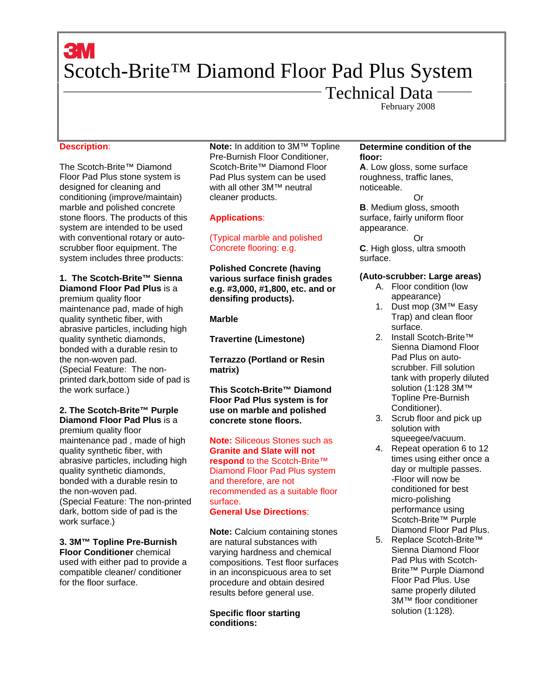# **3M** Scotch-Brite™ Diamond Floor Pad Plus System

Technical Data -February 2008

# **Description**:

The Scotch-Brite™ Diamond Floor Pad Plus stone system is designed for cleaning and conditioning (improve/maintain) marble and polished concrete stone floors. The products of this system are intended to be used with conventional rotary or autoscrubber floor equipment. The system includes three products:

# **1. The Scotch-Brite™ Sienna Diamond Floor Pad Plus** is a

premium quality floor maintenance pad, made of high quality synthetic fiber, with abrasive particles, including high quality synthetic diamonds, bonded with a durable resin to the non-woven pad. (Special Feature: The nonprinted dark,bottom side of pad is the work surface.)

# **2. The Scotch-Brite™ Purple Diamond Floor Pad Plus** is a

premium quality floor maintenance pad , made of high quality synthetic fiber, with abrasive particles, including high quality synthetic diamonds, bonded with a durable resin to the non-woven pad. (Special Feature: The non-printed dark, bottom side of pad is the work surface.)

**3. 3M™ Topline Pre-Burnish Floor Conditioner** chemical used with either pad to provide a compatible cleaner/ conditioner for the floor surface.

**Note:** In addition to 3M™ Topline Pre-Burnish Floor Conditioner, Scotch-Brite™ Diamond Floor Pad Plus system can be used with all other 3M™ neutral cleaner products.

# **Applications**:

# (Typical marble and polished Concrete flooring: e.g.

**Polished Concrete (having various surface finish grades e.g. #3,000, #1,800, etc. and or densifing products).** 

# **Marble**

**Travertine (Limestone)** 

**Terrazzo (Portland or Resin matrix)** 

**This Scotch-Brite™ Diamond Floor Pad Plus system is for use on marble and polished concrete stone floors.** 

**Note:** Siliceous Stones such as **Granite and Slate will not respond** to the Scotch-Brite™ Diamond Floor Pad Plus system and therefore, are not recommended as a suitable floor surface. **General Use Directions**:

**Note:** Calcium containing stones are natural substances with varying hardness and chemical compositions. Test floor surfaces in an inconspicuous area to set procedure and obtain desired results before general use.

# **Specific floor starting conditions:**

# **Determine condition of the floor:**

**A**. Low gloss, some surface roughness, traffic lanes, noticeable. Or **B**. Medium gloss, smooth surface, fairly uniform floor appearance. Or **C**. High gloss, ultra smooth

surface.

# **(Auto-scrubber: Large areas)**

- A. Floor condition (low appearance)
- 1. Dust mop (3M™ Easy Trap) and clean floor surface.
- 2. Install Scotch-Brite™ Sienna Diamond Floor Pad Plus on autoscrubber. Fill solution tank with properly diluted solution (1:128 3M™ Topline Pre-Burnish Conditioner).
- 3. Scrub floor and pick up solution with squeegee/vacuum.
- 4. Repeat operation 6 to 12 times using either once a day or multiple passes. -Floor will now be conditioned for best micro-polishing performance using Scotch-Brite™ Purple Diamond Floor Pad Plus.
- 5. Replace Scotch-Brite™ Sienna Diamond Floor Pad Plus with Scotch-Brite™ Purple Diamond Floor Pad Plus. Use same properly diluted 3M™ floor conditioner solution (1:128).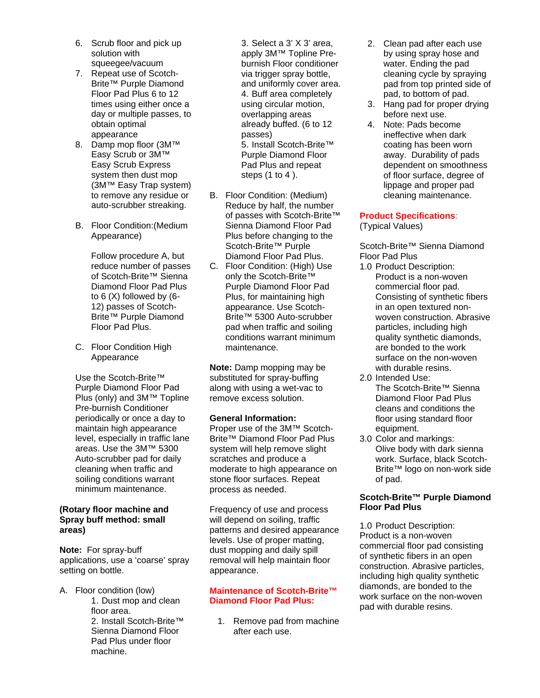- 6. Scrub floor and pick up solution with squeegee/vacuum
- 7. Repeat use of Scotch-Brite™ Purple Diamond Floor Pad Plus 6 to 12 times using either once a day or multiple passes, to obtain optimal appearance
- 8. Damp mop floor (3M™ Easy Scrub or 3M™ Easy Scrub Express system then dust mop (3M™ Easy Trap system) to remove any residue or auto-scrubber streaking.
- B. Floor Condition:(Medium Appearance)

Follow procedure A, but reduce number of passes of Scotch-Brite™ Sienna Diamond Floor Pad Plus to 6 (X) followed by (6- 12) passes of Scotch-Brite™ Purple Diamond Floor Pad Plus.

C. Floor Condition High Appearance

Use the Scotch-Brite™ Purple Diamond Floor Pad Plus (only) and 3M™ Topline Pre-burnish Conditioner periodically or once a day to maintain high appearance level, especially in traffic lane areas. Use the 3M™ 5300 Auto-scrubber pad for daily cleaning when traffic and soiling conditions warrant minimum maintenance.

# **(Rotary floor machine and Spray buff method: small areas)**

**Note:** For spray-buff applications, use a 'coarse' spray setting on bottle.

A. Floor condition (low)

1. Dust mop and clean floor area. 2. Install Scotch-Brite™ Sienna Diamond Floor Pad Plus under floor machine.

3. Select a 3' X 3' area, apply 3M™ Topline Preburnish Floor conditioner via trigger spray bottle, and uniformly cover area. 4. Buff area completely using circular motion, overlapping areas already buffed. (6 to 12 passes) 5. Install Scotch-Brite™ Purple Diamond Floor Pad Plus and repeat steps (1 to 4 ).

- B. Floor Condition: (Medium) Reduce by half, the number of passes with Scotch-Brite™ Sienna Diamond Floor Pad Plus before changing to the Scotch-Brite™ Purple Diamond Floor Pad Plus.
- C. Floor Condition: (High) Use only the Scotch-Brite™ Purple Diamond Floor Pad Plus, for maintaining high appearance. Use Scotch-Brite™ 5300 Auto-scrubber pad when traffic and soiling conditions warrant minimum maintenance.

**Note:** Damp mopping may be substituted for spray-buffing along with using a wet-vac to remove excess solution.

# **General Information:**

Proper use of the 3M™ Scotch-Brite™ Diamond Floor Pad Plus system will help remove slight scratches and produce a moderate to high appearance on stone floor surfaces. Repeat process as needed.

Frequency of use and process will depend on soiling, traffic patterns and desired appearance levels. Use of proper matting, dust mopping and daily spill removal will help maintain floor appearance.

# **Maintenance of Scotch-Brite™ Diamond Floor Pad Plus:**

1. Remove pad from machine after each use.

- 2. Clean pad after each use by using spray hose and water. Ending the pad cleaning cycle by spraying pad from top printed side of pad, to bottom of pad.
- 3. Hang pad for proper drying before next use.
- 4. Note: Pads become ineffective when dark coating has been worn away. Durability of pads dependent on smoothness of floor surface, degree of lippage and proper pad cleaning maintenance.

# **Product Specifications**:

(Typical Values)

Scotch-Brite™ Sienna Diamond Floor Pad Plus

- 1.0 Product Description: Product is a non-woven commercial floor pad. Consisting of synthetic fibers in an open textured nonwoven construction. Abrasive particles, including high quality synthetic diamonds, are bonded to the work surface on the non-woven with durable resins.
- 2.0 Intended Use: The Scotch-Brite™ Sienna Diamond Floor Pad Plus cleans and conditions the floor using standard floor equipment.
- 3.0 Color and markings: Olive body with dark sienna work. Surface, black Scotch-Brite™ logo on non-work side of pad.

# **Scotch-Brite™ Purple Diamond Floor Pad Plus**

1.0 Product Description: Product is a non-woven commercial floor pad consisting of synthetic fibers in an open construction. Abrasive particles, including high quality synthetic diamonds, are bonded to the work surface on the non-woven pad with durable resins.